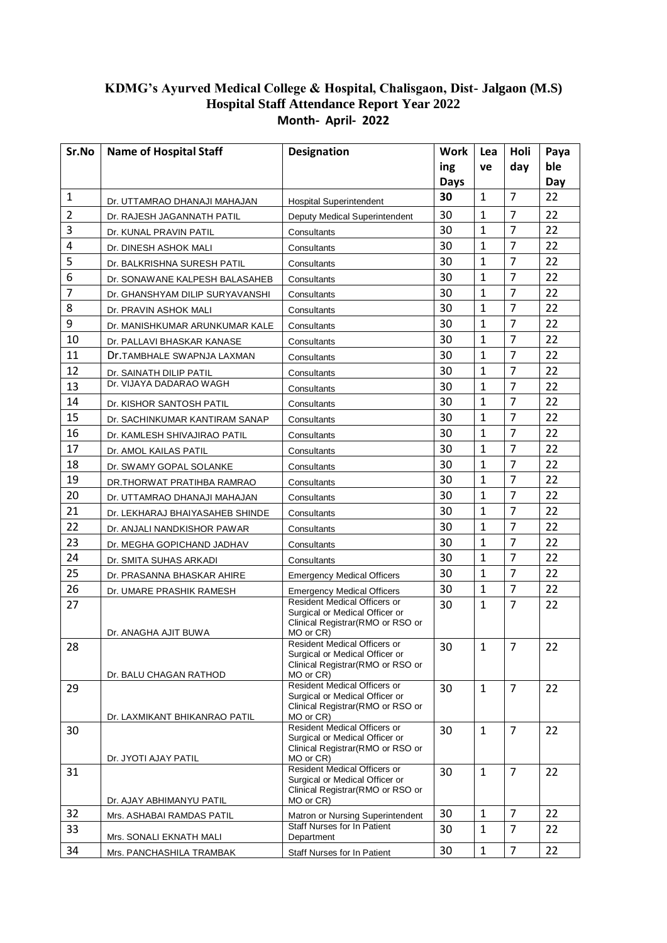## **KDMG's Ayurved Medical College & Hospital, Chalisgaon, Dist- Jalgaon (M.S) Hospital Staff Attendance Report Year 2022 Month- April- 2022**

| Sr.No          | <b>Name of Hospital Staff</b>   | <b>Designation</b>                                                                                                     | Work | Lea          | Holi           | Paya |
|----------------|---------------------------------|------------------------------------------------------------------------------------------------------------------------|------|--------------|----------------|------|
|                |                                 |                                                                                                                        | ing  | ve           | day            | ble  |
|                |                                 |                                                                                                                        | Days |              |                | Day  |
| $\mathbf{1}$   | Dr. UTTAMRAO DHANAJI MAHAJAN    | <b>Hospital Superintendent</b>                                                                                         | 30   | $\mathbf{1}$ | $\overline{7}$ | 22   |
| $\overline{2}$ | Dr. RAJESH JAGANNATH PATIL      | Deputy Medical Superintendent                                                                                          | 30   | $\mathbf{1}$ | $\overline{7}$ | 22   |
| 3              | Dr. KUNAL PRAVIN PATIL          | Consultants                                                                                                            | 30   | $\mathbf{1}$ | $\overline{7}$ | 22   |
| 4              | Dr. DINESH ASHOK MALI           | Consultants                                                                                                            | 30   | 1            | $\overline{7}$ | 22   |
| 5              | Dr. BALKRISHNA SURESH PATIL     | Consultants                                                                                                            | 30   | $\mathbf{1}$ | $\overline{7}$ | 22   |
| 6              | Dr. SONAWANE KALPESH BALASAHEB  | Consultants                                                                                                            | 30   | $\mathbf{1}$ | $\overline{7}$ | 22   |
| 7              | Dr. GHANSHYAM DILIP SURYAVANSHI | Consultants                                                                                                            | 30   | $\mathbf{1}$ | $\overline{7}$ | 22   |
| 8              | Dr. PRAVIN ASHOK MALI           | Consultants                                                                                                            | 30   | $\mathbf{1}$ | $\overline{7}$ | 22   |
| 9              | Dr. MANISHKUMAR ARUNKUMAR KALE  | Consultants                                                                                                            | 30   | $\mathbf{1}$ | $\overline{7}$ | 22   |
| 10             | Dr. PALLAVI BHASKAR KANASE      | Consultants                                                                                                            | 30   | 1            | $\overline{7}$ | 22   |
| 11             | Dr.TAMBHALE SWAPNJA LAXMAN      | Consultants                                                                                                            | 30   | 1            | $\overline{7}$ | 22   |
| 12             | Dr. SAINATH DILIP PATIL         | Consultants                                                                                                            | 30   | $\mathbf{1}$ | $\overline{7}$ | 22   |
| 13             | Dr. VIJAYA DADARAO WAGH         | Consultants                                                                                                            | 30   | $\mathbf{1}$ | $\overline{7}$ | 22   |
| 14             | Dr. KISHOR SANTOSH PATIL        | Consultants                                                                                                            | 30   | 1            | $\overline{7}$ | 22   |
| 15             | Dr. SACHINKUMAR KANTIRAM SANAP  | Consultants                                                                                                            | 30   | $\mathbf{1}$ | $\overline{7}$ | 22   |
| 16             | Dr. KAMLESH SHIVAJIRAO PATIL    | Consultants                                                                                                            | 30   | $\mathbf{1}$ | $\overline{7}$ | 22   |
| 17             | Dr. AMOL KAILAS PATIL           | Consultants                                                                                                            | 30   | 1            | $\overline{7}$ | 22   |
| 18             | Dr. SWAMY GOPAL SOLANKE         | Consultants                                                                                                            | 30   | $\mathbf{1}$ | $\overline{7}$ | 22   |
| 19             | DR.THORWAT PRATIHBA RAMRAO      | Consultants                                                                                                            | 30   | $\mathbf{1}$ | $\overline{7}$ | 22   |
| 20             | Dr. UTTAMRAO DHANAJI MAHAJAN    | Consultants                                                                                                            | 30   | $\mathbf{1}$ | $\overline{7}$ | 22   |
| 21             | Dr. LEKHARAJ BHAIYASAHEB SHINDE | Consultants                                                                                                            | 30   | $\mathbf{1}$ | $\overline{7}$ | 22   |
| 22             | Dr. ANJALI NANDKISHOR PAWAR     | Consultants                                                                                                            | 30   | $\mathbf{1}$ | $\overline{7}$ | 22   |
| 23             | Dr. MEGHA GOPICHAND JADHAV      | Consultants                                                                                                            | 30   | $\mathbf{1}$ | $\overline{7}$ | 22   |
| 24             | Dr. SMITA SUHAS ARKADI          | Consultants                                                                                                            | 30   | $\mathbf{1}$ | $\overline{7}$ | 22   |
| 25             | Dr. PRASANNA BHASKAR AHIRE      | <b>Emergency Medical Officers</b>                                                                                      | 30   | $\mathbf{1}$ | $\overline{7}$ | 22   |
| 26             | Dr. UMARE PRASHIK RAMESH        | <b>Emergency Medical Officers</b>                                                                                      | 30   | $\mathbf{1}$ | $\overline{7}$ | 22   |
| 27             | Dr. ANAGHA AJIT BUWA            | Resident Medical Officers or<br>Surgical or Medical Officer or<br>Clinical Registrar (RMO or RSO or<br>MO or CR)       | 30   | $\mathbf{1}$ | $\overline{7}$ | 22   |
| 28             | Dr. BALU CHAGAN RATHOD          | Resident Medical Officers or<br>Surgical or Medical Officer or<br>Clinical Registrar(RMO or RSO or<br>MO or CR)        | 30   | $\mathbf{1}$ | $\overline{7}$ | 22   |
| 29             | Dr. LAXMIKANT BHIKANRAO PATIL   | Resident Medical Officers or<br>Surgical or Medical Officer or<br>Clinical Registrar(RMO or RSO or<br>MO or CR)        | 30   | $\mathbf{1}$ | $\overline{7}$ | 22   |
| 30             | Dr. JYOTI AJAY PATIL            | <b>Resident Medical Officers or</b><br>Surgical or Medical Officer or<br>Clinical Registrar(RMO or RSO or<br>MO or CR) | 30   | $\mathbf{1}$ | $\overline{7}$ | 22   |
| 31             | Dr. AJAY ABHIMANYU PATIL        | Resident Medical Officers or<br>Surgical or Medical Officer or<br>Clinical Registrar(RMO or RSO or<br>MO or CR)        | 30   | 1            | $\overline{7}$ | 22   |
| 32             | Mrs. ASHABAI RAMDAS PATIL       | Matron or Nursing Superintendent                                                                                       | 30   | $\mathbf{1}$ | $\overline{7}$ | 22   |
| 33             |                                 | Staff Nurses for In Patient                                                                                            | 30   | 1            | $\overline{7}$ | 22   |
| 34             | Mrs. SONALI EKNATH MALI         | Department                                                                                                             | 30   | 1            | 7              | 22   |
|                | Mrs. PANCHASHILA TRAMBAK        | Staff Nurses for In Patient                                                                                            |      |              |                |      |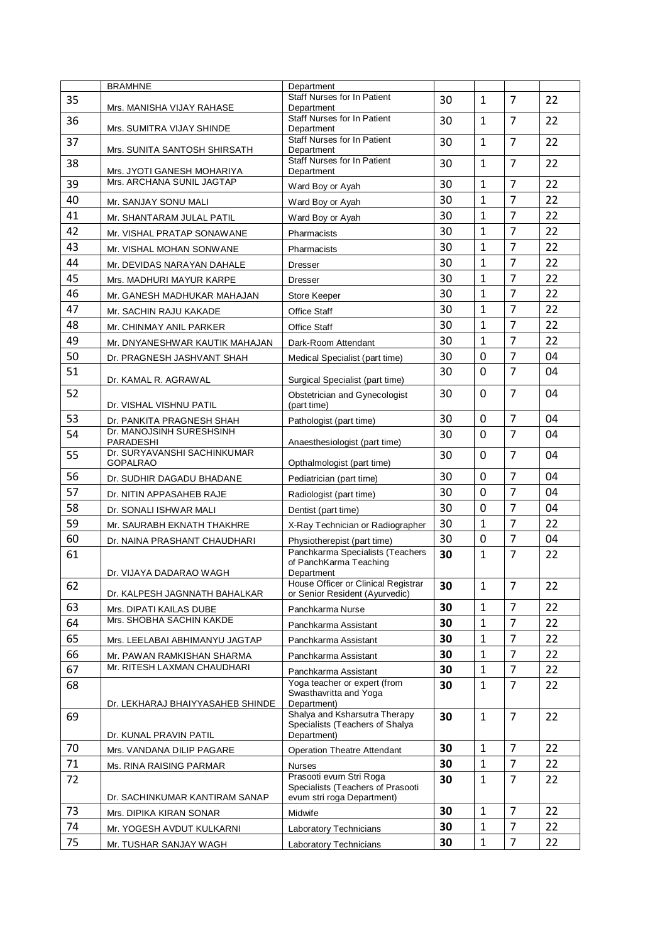|    | <b>BRAMHNE</b>                           | Department                                                            |          |                   |                |          |
|----|------------------------------------------|-----------------------------------------------------------------------|----------|-------------------|----------------|----------|
| 35 | Mrs. MANISHA VIJAY RAHASE                | <b>Staff Nurses for In Patient</b><br>Department                      | 30       | $\mathbf{1}$      | $\overline{7}$ | 22       |
| 36 | Mrs. SUMITRA VIJAY SHINDE                | <b>Staff Nurses for In Patient</b><br>Department                      | 30       | $\mathbf{1}$      | $\overline{7}$ | 22       |
| 37 | Mrs. SUNITA SANTOSH SHIRSATH             | Staff Nurses for In Patient<br>Department                             | 30       | $\mathbf{1}$      | $\overline{7}$ | 22       |
| 38 | Mrs. JYOTI GANESH MOHARIYA               | <b>Staff Nurses for In Patient</b><br>Department                      | 30       | $\mathbf{1}$      | $\overline{7}$ | 22       |
| 39 | Mrs. ARCHANA SUNIL JAGTAP                | Ward Boy or Ayah                                                      | 30       | $\mathbf{1}$      | $\overline{7}$ | 22       |
| 40 | Mr. SANJAY SONU MALI                     | Ward Boy or Ayah                                                      | 30       | $\mathbf{1}$      | $\overline{7}$ | 22       |
| 41 | Mr. SHANTARAM JULAL PATIL                | Ward Boy or Ayah                                                      | 30       | $\mathbf{1}$      | $\overline{7}$ | 22       |
| 42 | Mr. VISHAL PRATAP SONAWANE               | Pharmacists                                                           | 30       | 1                 | $\overline{7}$ | 22       |
| 43 | Mr. VISHAL MOHAN SONWANE                 | Pharmacists                                                           | 30       | $\mathbf{1}$      | $\overline{7}$ | 22       |
| 44 | Mr. DEVIDAS NARAYAN DAHALE               | <b>Dresser</b>                                                        | 30       | $\mathbf{1}$      | $\overline{7}$ | 22       |
| 45 | Mrs. MADHURI MAYUR KARPE                 | <b>Dresser</b>                                                        | 30       | $\mathbf{1}$      | $\overline{7}$ | 22       |
| 46 | Mr. GANESH MADHUKAR MAHAJAN              | Store Keeper                                                          | 30       | $\mathbf{1}$      | $\overline{7}$ | 22       |
| 47 | Mr. SACHIN RAJU KAKADE                   | <b>Office Staff</b>                                                   | 30       | $\mathbf{1}$      | $\overline{7}$ | 22       |
| 48 | Mr. CHINMAY ANIL PARKER                  | <b>Office Staff</b>                                                   | 30       | $\mathbf{1}$      | $\overline{7}$ | 22       |
| 49 | Mr. DNYANESHWAR KAUTIK MAHAJAN           | Dark-Room Attendant                                                   | 30       | $\mathbf{1}$      | $\overline{7}$ | 22       |
| 50 | Dr. PRAGNESH JASHVANT SHAH               | Medical Specialist (part time)                                        | 30       | $\mathbf 0$       | $\overline{7}$ | 04       |
| 51 | Dr. KAMAL R. AGRAWAL                     | Surgical Specialist (part time)                                       | 30       | $\mathbf{0}$      | $\overline{7}$ | 04       |
| 52 | Dr. VISHAL VISHNU PATIL                  | Obstetrician and Gynecologist<br>(part time)                          | 30       | $\mathbf 0$       | $\overline{7}$ | 04       |
| 53 | Dr. PANKITA PRAGNESH SHAH                | Pathologist (part time)                                               | 30       | 0                 | $\overline{7}$ | 04       |
| 54 | Dr. MANOJSINH SURESHSINH                 |                                                                       | 30       | 0                 | $\overline{7}$ | 04       |
| 55 | PARADESHI<br>Dr. SURYAVANSHI SACHINKUMAR | Anaesthesiologist (part time)                                         | 30       | 0                 | $\overline{7}$ | 04       |
| 56 | <b>GOPALRAO</b>                          | Opthalmologist (part time)                                            | 30       | 0                 | $\overline{7}$ | 04       |
| 57 | Dr. SUDHIR DAGADU BHADANE                | Pediatrician (part time)                                              | 30       | 0                 | $\overline{7}$ | 04       |
| 58 | Dr. NITIN APPASAHEB RAJE                 | Radiologist (part time)                                               | 30       | 0                 | $\overline{7}$ | 04       |
| 59 | Dr. SONALI ISHWAR MALI                   | Dentist (part time)                                                   | 30       | $\mathbf{1}$      | $\overline{7}$ | 22       |
| 60 | Mr. SAURABH EKNATH THAKHRE               | X-Ray Technician or Radiographer                                      |          |                   | $\overline{7}$ |          |
| 61 | Dr. NAINA PRASHANT CHAUDHARI             | Physiotherepist (part time)<br>Panchkarma Specialists (Teachers       | 30<br>30 | 0<br>$\mathbf{1}$ | $\overline{7}$ | 04<br>22 |
|    | Dr. VIJAYA DADARAO WAGH                  | of PanchKarma Teaching<br>Department                                  |          |                   |                |          |
| 62 | Dr. KALPESH JAGNNATH BAHALKAR            | House Officer or Clinical Registrar<br>or Senior Resident (Ayurvedic) | 30       | $\mathbf{1}$      | 7              | 22       |
| 63 | Mrs. DIPATI KAILAS DUBE                  | Panchkarma Nurse                                                      | 30       | $\mathbf{1}$      | $\overline{7}$ | 22       |
| 64 | Mrs. SHOBHA SACHIN KAKDE                 | Panchkarma Assistant                                                  | 30       | $\mathbf{1}$      | $\overline{7}$ | 22       |
| 65 | Mrs. LEELABAI ABHIMANYU JAGTAP           | Panchkarma Assistant                                                  | 30       | 1                 | $\overline{7}$ | 22       |
| 66 | Mr. PAWAN RAMKISHAN SHARMA               | Panchkarma Assistant                                                  | 30       | $\mathbf{1}$      | $\overline{7}$ | 22       |
| 67 | Mr. RITESH LAXMAN CHAUDHARI              | Panchkarma Assistant                                                  | 30       | $\mathbf{1}$      | $\overline{7}$ | 22       |
| 68 |                                          | Yoga teacher or expert (from<br>Swasthavritta and Yoga                | 30       | $\mathbf{1}$      | $\overline{7}$ | 22       |
| 69 | Dr. LEKHARAJ BHAIYYASAHEB SHINDE         | Department)<br>Shalya and Ksharsutra Therapy                          | 30       | $\mathbf{1}$      | $\overline{7}$ | 22       |
|    | Dr. KUNAL PRAVIN PATIL                   | Specialists (Teachers of Shalya<br>Department)                        |          |                   |                |          |
| 70 | Mrs. VANDANA DILIP PAGARE                | <b>Operation Theatre Attendant</b>                                    | 30       | $\mathbf{1}$      | $\overline{7}$ | 22       |
| 71 | Ms. RINA RAISING PARMAR                  | Nurses                                                                | 30       | $\mathbf{1}$      | $\overline{7}$ | 22       |
| 72 |                                          | Prasooti evum Stri Roga                                               | 30       | $\mathbf{1}$      | $\overline{7}$ | 22       |
|    | Dr. SACHINKUMAR KANTIRAM SANAP           | Specialists (Teachers of Prasooti<br>evum stri roga Department)       |          |                   |                |          |
| 73 | Mrs. DIPIKA KIRAN SONAR                  | Midwife                                                               | 30       | $\mathbf{1}$      | $\overline{7}$ | 22       |
| 74 | Mr. YOGESH AVDUT KULKARNI                | Laboratory Technicians                                                | 30       | $\mathbf{1}$      | $\overline{7}$ | 22       |
| 75 | Mr. TUSHAR SANJAY WAGH                   | Laboratory Technicians                                                | 30       | $\mathbf{1}$      | $\overline{7}$ | 22       |